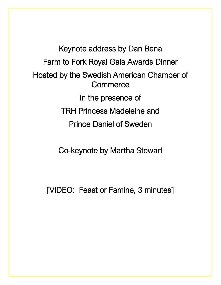Keynote address by Dan Bena Farm to Fork Royal Gala Awards Dinner Hosted by the Swedish American Chamber of **Commerce** in the presence of TRH Princess Madeleine and Prince Daniel of Sweden

Co-keynote by Martha Stewart

[VIDEO: Feast or Famine, 3 minutes]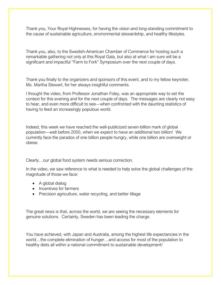Thank you, Your Royal Highnesses, for having the vision and long-standing commitment to the cause of sustainable agriculture, environmental stewardship, and healthy lifestyles.

Thank you, also, to the Swedish-American Chamber of Commerce for hosting such a remarkable gathering not only at this Royal Gala, but also at what I am sure will be a significant and impactful "Farm to Fork" Symposium over the next couple of days.

Thank you finally to the organizers and sponsors of this event, and to my fellow keynoter, Ms. Martha Stewart, for her always insightful comments.

I thought the video, from Professor Jonathan Foley, was an appropriate way to set the context for this evening and for the next couple of days. The messages are clearly not easy to hear, and even more difficult to see—when confronted with the daunting statistics of having to feed an increasingly populous world.

Indeed, this week we have reached the well-publicized seven-billion mark of global population—well before 2050, when we expect to have an additional two billion! We currently face the paradox of one billion people hungry, while one billion are overweight or obese.

Clearly…our global food system needs serious correction.

In the video, we saw reference to what is needed to help solve the global challenges of the magnitude of those we face:

- A global dialog
- Incentives for farmers
- Precision agriculture, water recycling, and better tillage

The great news is that, across the world, we are seeing the necessary elements for genuine solutions. Certainly, Sweden has been leading the charge.

You have achieved, with Japan and Australia, among the highest life expectancies in the world…the complete elimination of hunger…and access for most of the population to healthy diets all within a national commitment to sustainable development!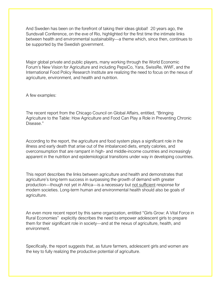And Sweden has been on the forefront of taking their ideas global! 20 years ago, the Sundsvall Conference, on the eve of Rio, highlighted for the first time the intimate links between health and environmental sustainability—a theme which, since then, continues to be supported by the Swedish government.

Major global private and public players, many working through the World Economic Forum's New Vision for Agriculture and including PepsiCo, Yara, SwissRe, WWF, and the International Food Policy Research Institute are realizing the need to focus on the nexus of agriculture, environment, and health and nutrition.

A few examples:

The recent report from the Chicago Council on Global Affairs, entitled, "Bringing Agriculture to the Table: How Agriculture and Food Can Play a Role in Preventing Chronic Disease."

According to the report, the agriculture and food system plays a significant role in the illness and early death that arise out of the imbalanced diets, empty calories, and overconsumption that are rampant in high- and middle-income countries and increasingly apparent in the nutrition and epidemiological transitions under way in developing countries.

This report describes the links between agriculture and health and demonstrates that agriculture's long-term success in surpassing the growth of demand with greater production—though not yet in Africa—is a *necessary* but not sufficient response for modern societies. Long-term human and environmental health should also be goals of agriculture.

An even more recent report by this same organization, entitled "Girls Grow: A Vital Force in Rural Economies" explicitly describes the need to empower adolescent girls to prepare them for their significant role in society—and at the nexus of agriculture, health, and environment.

Specifically, the report suggests that, as future farmers, adolescent girls and women are the key to fully realizing the productive potential of agriculture.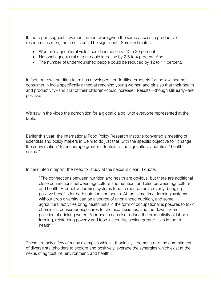If, the report suggests, women farmers were given the same access to productive resources as men, the results could be significant. Some estimates:

- Women's agricultural yields could increase by 20 to 30 percent.
- National agricultural output could increase by 2.5 to 4 percent. And,
- The number of undernourished people could be reduced by 12 to 17 percent.

In fact, our own nutrition team has developed iron-fortified products for the low income consumer in India specifically aimed at reaching young women and girls so that their health and productivity--and that of their children--could increase. Results—though still early--are positive.

We saw in the video the admonition for a global dialog, with everyone represented at the table.

Earlier this year, the International Food Policy Research Institute convened a meeting of scientists and policy makers in Delhi to do just that, with the specific objective to "'change the conversation,' to encourage greater attention to the agriculture / nutrition / health nexus."

In their interim report, the need for study at the nexus is clear. I quote:

"The connections between nutrition and health are obvious, but there are additional close connections between agriculture and nutrition, and also between agriculture and health. Productive farming systems tend to reduce rural poverty, bringing positive benefits for both nutrition and health. At the same time, farming systems without crop diversity can be a source of unbalanced nutrition, and some agricultural activities bring health risks in the form of occupational exposures to toxic chemicals, consumer exposures to chemical residues, and the downstream pollution of drinking water. Poor health can also reduce the productivity of labor in farming, reinforcing poverty and food insecurity, posing greater risks in turn to health."

These are only a few of many examples which—thankfully—demonstrate the commitment of diverse stakeholders to explore and positively leverage the synergies which exist at the nexus of agriculture, environment, and health.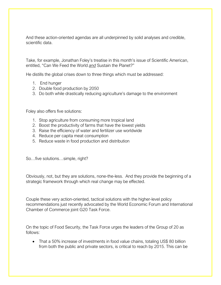And these action-oriented agendas are all underpinned by solid analyses and credible, scientific data.

Take, for example, Jonathan Foley's treatise in this month's issue of Scientific American, entitled, "Can We Feed the World *and* Sustain the Planet?"

He distills the global crises down to three things which must be addressed:

- 1. End hunger
- 2. Double food production by 2050
- 3. Do both while drastically reducing agriculture's damage to the environment

Foley also offers five solutions:

- 1. Stop agriculture from consuming more tropical land
- 2. Boost the productivity of farms that have the lowest yields
- 3. Raise the efficiency of water and fertilizer use worldwide
- 4. Reduce per capita meat consumption
- 5. Reduce waste in food production and distribution

So…five solutions…simple, right?

Obviously, not, but they are solutions, none-the-less. And they provide the beginning of a strategic framework through which real change may be effected.

Couple these very action-oriented, tactical solutions with the higher-level policy recommendations just recently advocated by the World Economic Forum and International Chamber of Commerce joint G20 Task Force.

On the topic of Food Security, the Task Force urges the leaders of the Group of 20 as follows:

• That a 50% increase of investments in food value chains, totaling US\$ 80 billion from both the public and private sectors, is critical to reach by 2015. This can be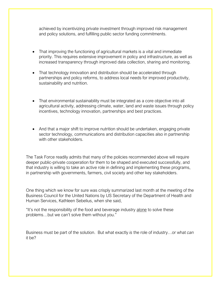achieved by incentivizing private investment through improved risk management and policy solutions, and fulfilling public sector funding commitments.

- That improving the functioning of agricultural markets is a vital and immediate priority. This requires extensive improvement in policy and infrastructure, as well as increased transparency through improved data collection, sharing and monitoring.
- That technology innovation and distribution should be accelerated through partnerships and policy reforms, to address local needs for improved productivity, sustainability and nutrition.
- That environmental sustainability must be integrated as a core objective into all agricultural activity, addressing climate, water, land and waste issues through policy incentives, technology innovation, partnerships and best practices.
- And that a major shift to improve nutrition should be undertaken, engaging private sector technology, communications and distribution capacities also in partnership with other stakeholders.

The Task Force readily admits that many of the policies recommended above will require deeper public-private cooperation for them to be shaped and executed successfully, and that industry is willing to take an active role in defining and implementing these programs, in partnership with governments, farmers, civil society and other key stakeholders.

One thing which we know for sure was crisply summarized last month at the meeting of the Business Council for the United Nations by US Secretary of the Department of Health and Human Services, Kathleen Sebelius, when she said,

"It's not the responsibility of the food and beverage industry alone to solve these problems…but we can't solve them without you."

Business must be part of the solution. But what exactly *is* the role of industry…or what *can* it be?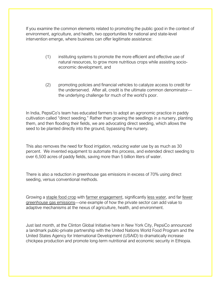If you examine the common elements related to promoting the public good in the context of environment, agriculture, and health, two opportunities for national and state-level intervention emerge, where business can offer legitimate assistance:

- (1) instituting systems to promote the more efficient and effective use of natural resources, to grow more nutritious crops while assisting socioeconomic development, and
- (2) promoting policies and financial vehicles to catalyze access to credit for the underserved. After all, credit is the ultimate common denominator the underlying challenge for much of the world's poor.

In India, PepsiCo's team has educated farmers to adopt an agronomic practice in paddy cultivation called "direct seeding." Rather than growing the seedlings in a nursery, planting them, and then flooding their fields, we are advocating direct seeding, which allows the seed to be planted directly into the ground, bypassing the nursery.

This also removes the need for flood irrigation, reducing water use by as much as 30 percent. We invented equipment to automate this process, and extended direct seeding to over 6,500 acres of paddy fields, saving more than 5 billion liters of water.

There is also a reduction in greenhouse gas emissions in excess of 70% using direct seeding, versus conventional methods.

Growing a staple food crop with farmer engagement, significantly less water, and far fewer greenhouse gas emissions—one example of how the private sector can add value to adaptive mechanisms at the nexus of agriculture, health, and environment.

Just last month, at the Clinton Global Initiative here in New York City, PepsiCo announced a landmark public-private partnership with the United Nations World Food Program and the United States Agency for International Development (USAID) to dramatically increase chickpea production and promote long-term nutritional and economic security in Ethiopia.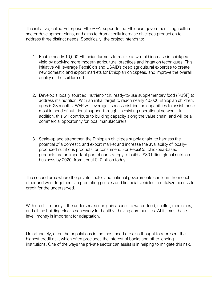The initiative, called Enterprise EthioPEA, supports the Ethiopian government's agriculture sector development plans, and aims to dramatically increase chickpea production to address three distinct needs. Specifically, the project intends to:

- 1. Enable nearly 10,000 Ethiopian farmers to realize a two-fold increase in chickpea yield by applying more modern agricultural practices and irrigation techniques. This initiative will leverage PepsiCo's and USAID's deep agricultural expertise to create new domestic and export markets for Ethiopian chickpeas, and improve the overall quality of the soil farmed.
- 2. Develop a locally sourced, nutrient-rich, ready-to-use supplementary food (RUSF) to address malnutrition. With an initial target to reach nearly 40,000 Ethiopian children, ages 6-23 months, WFP will leverage its mass distribution capabilities to assist those most in need of nutritional support through its existing operational network. In addition, this will contribute to building capacity along the value chain, and will be a commercial opportunity for local manufacturers.
- 3. Scale-up and strengthen the Ethiopian chickpea supply chain, to harness the potential of a domestic and export market and increase the availability of locallyproduced nutritious products for consumers. For PepsiCo, chickpea-based products are an important part of our strategy to build a \$30 billion global nutrition business by 2020, from about \$10 billion today.

The second area where the private sector and national governments can learn from each other and work together is in promoting policies and financial vehicles to catalyze access to credit for the underserved.

With credit—money—the underserved can gain access to water, food, shelter, medicines, and all the building blocks necessary for healthy, thriving communities. At its most base level, money is important for adaptation.

Unfortunately, often the populations in the most need are also thought to represent the highest credit risk, which often precludes the interest of banks and other lending institutions. One of the ways the private sector can assist is in helping to mitigate this risk.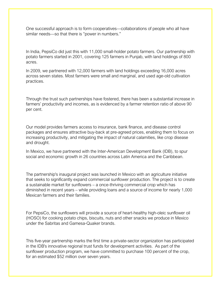One successful approach is to form cooperatives—collaborations of people who all have similar needs—so that there is "power in numbers."

In India, PepsiCo did just this with 11,000 small-holder potato farmers. Our partnership with potato farmers started in 2001, covering 125 farmers in Punjab, with land holdings of 800 acres.

In 2009, we partnered with 12,000 farmers with land holdings exceeding 16,000 acres across seven states. Most farmers were small and marginal, and used age-old cultivation practices.

Through the trust such partnerships have fostered, there has been a substantial increase in farmers' productivity and incomes, as is evidenced by a farmer retention ratio of above 90 per cent.

Our model provides farmers access to insurance, bank finance, and disease control packages and ensures attractive buy-back at pre-agreed prices, enabling them to focus on increasing productivity, and mitigating the impact of natural calamities, like crop disease and drought.

In Mexico, we have partnered with the Inter-American Development Bank (IDB), to spur social and economic growth in 26 countries across Latin America and the Caribbean.

The partnership's inaugural project was launched in Mexico with an agriculture initiative that seeks to significantly expand commercial sunflower production. The project is to create a sustainable market for sunflowers – a once-thriving commercial crop which has diminished in recent years – while providing loans and a source of income for nearly 1,000 Mexican farmers and their families.

For PepsiCo, the sunflowers will provide a source of heart-healthy high-oleic sunflower oil (HOSO) for cooking potato chips, biscuits, nuts and other snacks we produce in Mexico under the Sabritas and Gamesa-Quaker brands.

This five-year partnership marks the first time a private-sector organization has participated in the IDB's innovative regional trust funds for development activities. As part of the sunflower production program, we have committed to purchase 100 percent of the crop, for an estimated \$52 million over seven years.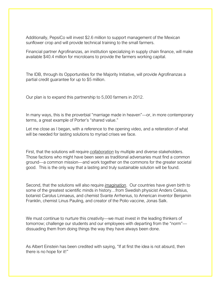Additionally, PepsiCo will invest \$2.6 million to support management of the Mexican sunflower crop and will provide technical training to the small farmers.

Financial partner Agrofinanzas, an institution specializing in supply chain finance, will make available \$40.4 million for microloans to provide the farmers working capital.

The IDB, through its Opportunities for the Majority Initiative, will provide Agrofinanzas a partial credit guarantee for up to \$5 million.

Our plan is to expand this partnership to 5,000 farmers in 2012.

In many ways, this is the proverbial "marriage made in heaven"—or, in more contemporary terms, a great example of Porter's "shared value."

Let me close as I began, with a reference to the opening video, and a reiteration of what will be needed for lasting solutions to myriad crises we face.

First, that the solutions will require *collaboration* by multiple and diverse stakeholders. Those factions who might have been seen as traditional adversaries must find a common ground—a common mission—and work together on the commons for the greater societal good. This is the only way that a lasting and truly sustainable solution will be found.

Second, that the solutions will also require *imagination*. Our countries have given birth to some of the greatest scientific minds in history…from Swedish physicist Anders Celsius, botanist Carolus Linnaeus, and chemist Svante Arrhenius, to American inventor Benjamin Franklin, chemist Linus Pauling, and creator of the Polio vaccine, Jonas Salk.

We must continue to nurture this creativity—we must invest in the leading thinkers of tomorrow; challenge our students and our employees with departing from the "norm" dissuading them from doing things the way they have always been done.

As Albert Einstein has been credited with saying, "If at first the idea is not absurd, then there is no hope for it!"